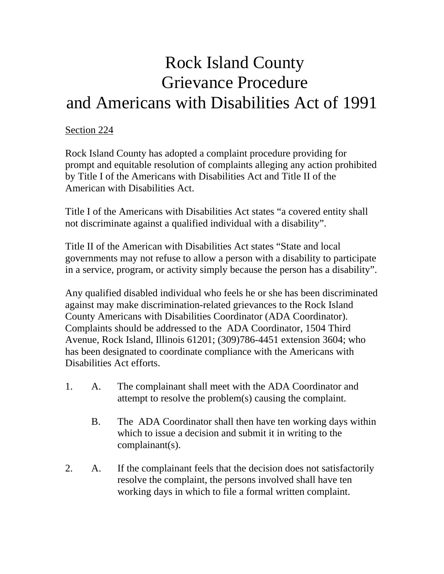## Rock Island County Grievance Procedure and Americans with Disabilities Act of 1991

## Section 224

Rock Island County has adopted a complaint procedure providing for prompt and equitable resolution of complaints alleging any action prohibited by Title I of the Americans with Disabilities Act and Title II of the American with Disabilities Act.

Title I of the Americans with Disabilities Act states "a covered entity shall not discriminate against a qualified individual with a disability".

Title II of the American with Disabilities Act states "State and local governments may not refuse to allow a person with a disability to participate in a service, program, or activity simply because the person has a disability".

Any qualified disabled individual who feels he or she has been discriminated against may make discrimination-related grievances to the Rock Island County Americans with Disabilities Coordinator (ADA Coordinator). Complaints should be addressed to the ADA Coordinator, 1504 Third Avenue, Rock Island, Illinois 61201; (309)786-4451 extension 3604; who has been designated to coordinate compliance with the Americans with Disabilities Act efforts.

- 1. A. The complainant shall meet with the ADA Coordinator and attempt to resolve the problem(s) causing the complaint.
	- B. The ADA Coordinator shall then have ten working days within which to issue a decision and submit it in writing to the complainant(s).
- 2. A. If the complainant feels that the decision does not satisfactorily resolve the complaint, the persons involved shall have ten working days in which to file a formal written complaint.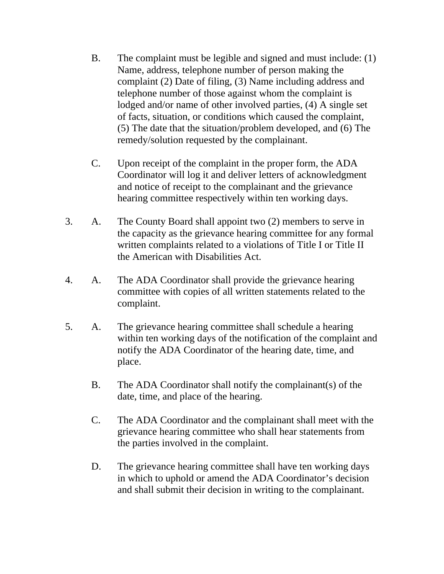- B. The complaint must be legible and signed and must include: (1) Name, address, telephone number of person making the complaint (2) Date of filing, (3) Name including address and telephone number of those against whom the complaint is lodged and/or name of other involved parties, (4) A single set of facts, situation, or conditions which caused the complaint, (5) The date that the situation/problem developed, and (6) The remedy/solution requested by the complainant.
- C. Upon receipt of the complaint in the proper form, the ADA Coordinator will log it and deliver letters of acknowledgment and notice of receipt to the complainant and the grievance hearing committee respectively within ten working days.
- 3. A. The County Board shall appoint two (2) members to serve in the capacity as the grievance hearing committee for any formal written complaints related to a violations of Title I or Title II the American with Disabilities Act.
- 4. A. The ADA Coordinator shall provide the grievance hearing committee with copies of all written statements related to the complaint.
- 5. A. The grievance hearing committee shall schedule a hearing within ten working days of the notification of the complaint and notify the ADA Coordinator of the hearing date, time, and place.
	- B. The ADA Coordinator shall notify the complainant(s) of the date, time, and place of the hearing.
	- C. The ADA Coordinator and the complainant shall meet with the grievance hearing committee who shall hear statements from the parties involved in the complaint.
	- D. The grievance hearing committee shall have ten working days in which to uphold or amend the ADA Coordinator's decision and shall submit their decision in writing to the complainant.